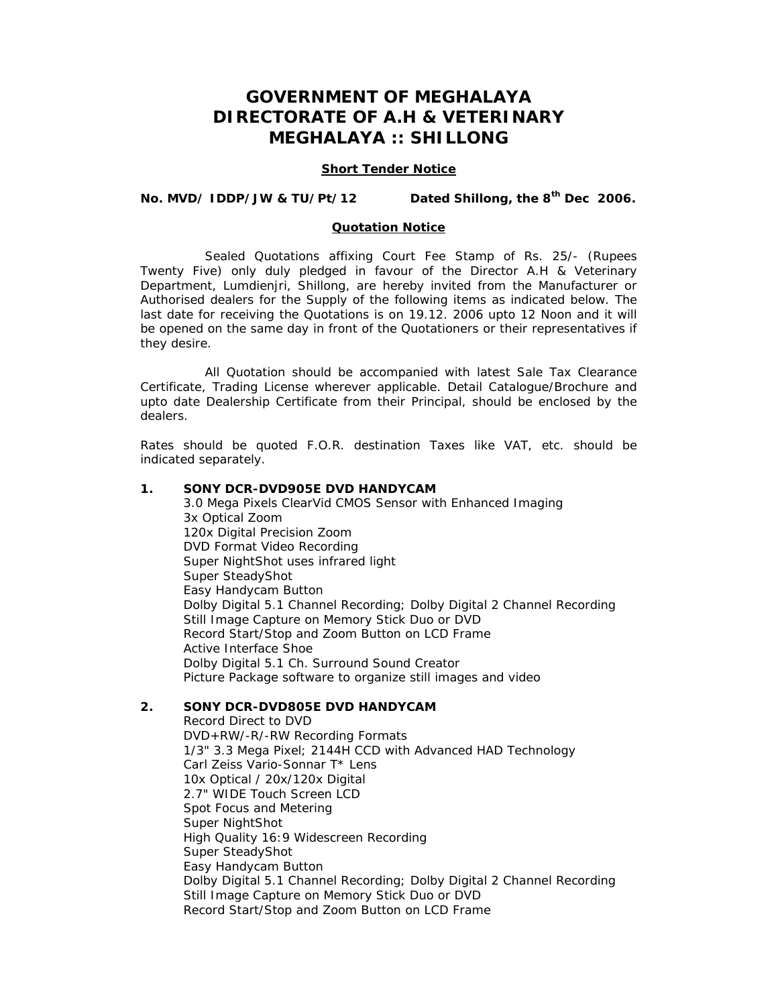# **GOVERNMENT OF MEGHALAYA DIRECTORATE OF A.H & VETERINARY MEGHALAYA :: SHILLONG**

#### **Short Tender Notice**

No. MVD/ IDDP/JW & TU/Pt/12 Dated Shillong, the 8<sup>th</sup> Dec 2006.

#### **Quotation Notice**

 Twenty Five) only duly pledged in favour of the Director A.H & Veterinary be opened on the same day in front of the Quotationers or their representatives if Sealed Quotations affixing Court Fee Stamp of Rs. 25/- (Rupees Department, Lumdienjri, Shillong, are hereby invited from the Manufacturer or Authorised dealers for the Supply of the following items as indicated below. The last date for receiving the Quotations is on 19.12. 2006 upto 12 Noon and it will they desire.

dealers All Quotation should be accompanied with latest Sale Tax Clearance Certificate, Trading License wherever applicable. Detail Catalogue/Brochure and upto date Dealership Certificate from their Principal, should be enclosed by the

Rates should be quoted F.O.R. destination Taxes like VAT, etc. should be indicated separately.

#### **1. SONY DCR-DVD905E DVD HANDYCAM**

Super NightShot uses infrared light<br>Super SteadyShot Easy Handycam Button Easy Handycam Button<br>Dolby Digital 5.1 Channel Recording; Dolby Digital 2 Channel Recording 3.0 Mega Pixels ClearVid CMOS Sensor with Enhanced Imaging 3x Optical Zoom 120x Digital Precision Zoom DVD Format Video Recording Still Image Capture on Memory Stick Duo or DVD Record Start/Stop and Zoom Button on LCD Frame Active Interface Shoe Dolby Digital 5.1 Ch. Surround Sound Creator Picture Package software to organize still images and video

### **2. SONY DCR-DVD805E DVD HANDYCAM**

 Carl Zeiss Vario-Sonnar T\* Lens 2.7" WIDE Touch Screen LCD<br>Spot Focus and Metering<br>Super NightShot Spot Focus and Metering High Quality 16:9 Widescreen Recording Easy Handycam Button Easy Handycam Button<br>Dolby Digital 5.1 Channel Recording; Dolby Digital 2 Channel Recording Record Direct to DVD DVD+RW/-R/-RW Recording Formats 1/3" 3.3 Mega Pixel; 2144H CCD with Advanced HAD Technology 10x Optical / 20x/120x Digital Super SteadyShot Still Image Capture on Memory Stick Duo or DVD Record Start/Stop and Zoom Button on LCD Frame